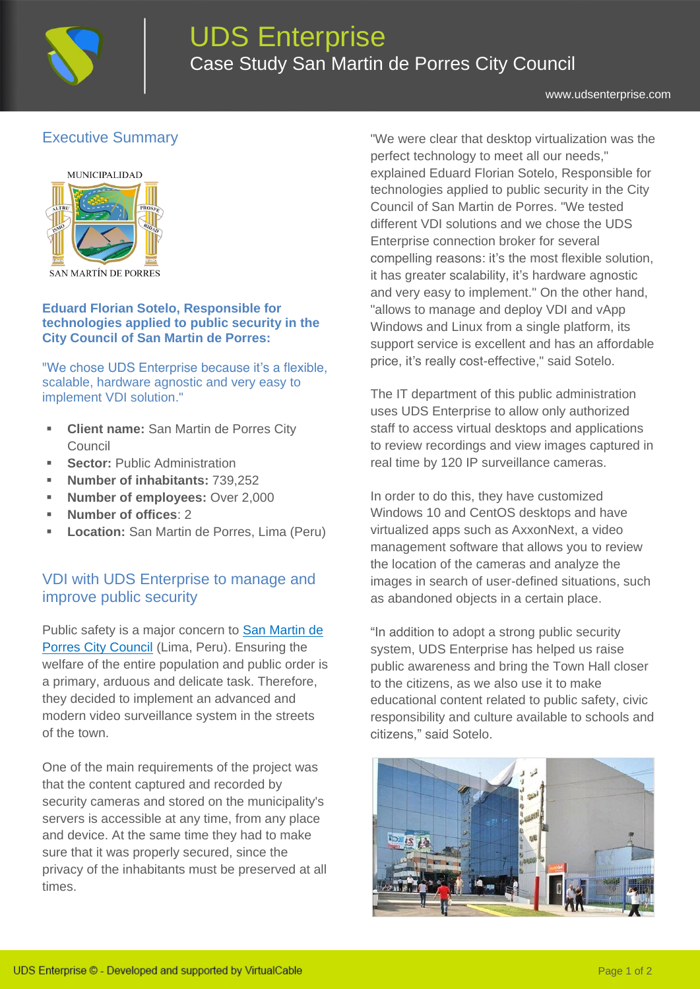

[www.udsenterprise.com](https://www.udsenterprise.com/)

I

# Executive Summary



#### **Eduard Florian Sotelo, Responsible for technologies applied to public security in the City Council of San Martin de Porres:**

"We chose UDS Enterprise because it's a flexible, scalable, hardware agnostic and very easy to implement VDI solution."

- **Client name:** San Martin de Porres City Council
- **Sector:** Public Administration
- **Number of inhabitants:** 739,252
- **Number of employees: Over 2,000**
- **Number of offices**: 2
- **Location:** San Martin de Porres, Lima (Peru)

### VDI with UDS Enterprise to manage and improve public security

Public safety is a major concern to San Martin de [Porres City Council](http://www.mdsmp.gob.pe/) (Lima, Peru). Ensuring the welfare of the entire population and public order is a primary, arduous and delicate task. Therefore, they decided to implement an advanced and modern video surveillance system in the streets of the town.

One of the main requirements of the project was that the content captured and recorded by security cameras and stored on the municipality's servers is accessible at any time, from any place and device. At the same time they had to make sure that it was properly secured, since the privacy of the inhabitants must be preserved at all times.

"We were clear that desktop virtualization was the perfect technology to meet all our needs," explained Eduard Florian Sotelo, Responsible for technologies applied to public security in the City Council of San Martin de Porres. "We tested different VDI solutions and we chose the UDS Enterprise connection broker for several compelling reasons: it's the most flexible solution, it has greater scalability, it's hardware agnostic and very easy to implement." On the other hand, "allows to manage and deploy VDI and vApp Windows and Linux from a single platform, its support service is excellent and has an affordable price, it's really cost-effective," said Sotelo.

The IT department of this public administration uses UDS Enterprise to allow only authorized staff to access virtual desktops and applications to review recordings and view images captured in real time by 120 IP surveillance cameras.

In order to do this, they have customized Windows 10 and CentOS desktops and have virtualized apps such as AxxonNext, a video management software that allows you to review the location of the cameras and analyze the images in search of user-defined situations, such as abandoned objects in a certain place.

"In addition to adopt a strong public security system, UDS Enterprise has helped us raise public awareness and bring the Town Hall closer to the citizens, as we also use it to make educational content related to public safety, civic responsibility and culture available to schools and citizens," said Sotelo.